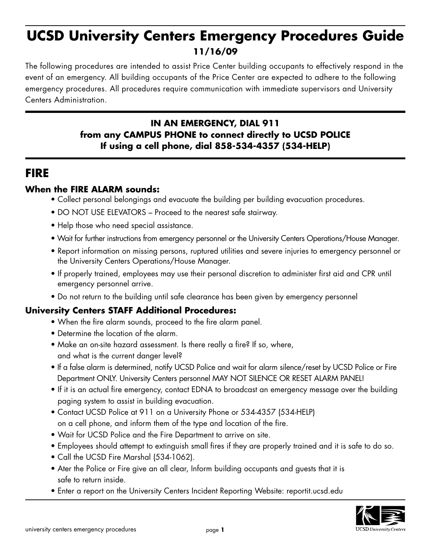# **UCSD University Centers Emergency Procedures Guide 11/16/09**

The following procedures are intended to assist Price Center building occupants to effectively respond in the event of an emergency. All building occupants of the Price Center are expected to adhere to the following emergency procedures. All procedures require communication with immediate supervisors and University Centers Administration.

#### **IN AN EMERGENCY, DIAL 911 from any CAMPUS PHONE to connect directly to UCSD POLICE If using a cell phone, dial 858-534-4357 (534-HELP)**

### **FIRE**

#### **When the FIRE ALARM sounds:**

- Collect personal belongings and evacuate the building per building evacuation procedures.
- DO NOT USE ELEVATORS Proceed to the nearest safe stairway.
- Help those who need special assistance.
- Wait for further instructions from emergency personnel or the University Centers Operations/House Manager.
- Report information on missing persons, ruptured utilities and severe injuries to emergency personnel or the University Centers Operations/House Manager.
- If properly trained, employees may use their personal discretion to administer first aid and CPR until emergency personnel arrive.
- Do not return to the building until safe clearance has been given by emergency personnel

- When the fire alarm sounds, proceed to the fire alarm panel.
- Determine the location of the alarm.
- Make an on-site hazard assessment. Is there really a fire? If so, where, and what is the current danger level?
- If a false alarm is determined, notify UCSD Police and wait for alarm silence/reset by UCSD Police or Fire Department ONLY. University Centers personnel MAY NOT SILENCE OR RESET ALARM PANEL!
- If it is an actual fire emergency, contact EDNA to broadcast an emergency message over the building paging system to assist in building evacuation.
- Contact UCSD Police at 911 on a University Phone or 534-4357 (534-HELP) on a cell phone, and inform them of the type and location of the fire.
- Wait for UCSD Police and the Fire Department to arrive on site.
- Employees should attempt to extinguish small fires if they are properly trained and it is safe to do so.
- Call the UCSD Fire Marshal (534-1062).
- Ater the Police or Fire give an all clear, Inform building occupants and guests that it is safe to return inside.
- Enter a report on the University Centers Incident Reporting Website: reportit.ucsd.edu

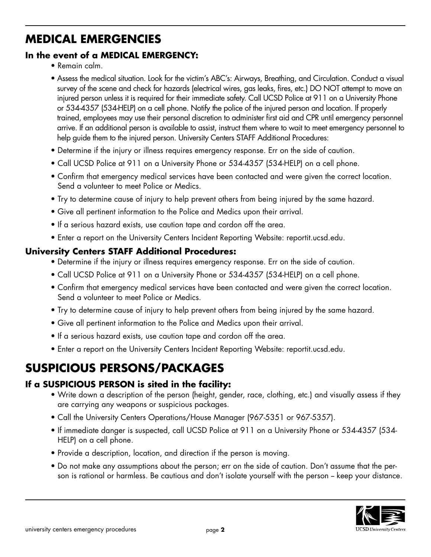# **MEDICAL EMERGENCIES**

### **In the event of a MEDICAL EMERGENCY:**

- Remain calm.
- Assess the medical situation. Look for the victim's ABC's: Airways, Breathing, and Circulation. Conduct a visual survey of the scene and check for hazards (electrical wires, gas leaks, fires, etc.) DO NOT attempt to move an injured person unless it is required for their immediate safety. Call UCSD Police at 911 on a University Phone or 534-4357 (534-HELP) on a cell phone. Notify the police of the injured person and location. If properly trained, employees may use their personal discretion to administer first aid and CPR until emergency personnel arrive. If an additional person is available to assist, instruct them where to wait to meet emergency personnel to help guide them to the injured person. University Centers STAFF Additional Procedures:
- Determine if the injury or illness requires emergency response. Err on the side of caution.
- Call UCSD Police at 911 on a University Phone or 534-4357 (534-HELP) on a cell phone.
- Confirm that emergency medical services have been contacted and were given the correct location. Send a volunteer to meet Police or Medics.
- Try to determine cause of injury to help prevent others from being injured by the same hazard.
- Give all pertinent information to the Police and Medics upon their arrival.
- If a serious hazard exists, use caution tape and cordon off the area.
- Enter a report on the University Centers Incident Reporting Website: reportit.ucsd.edu.

#### **University Centers STAFF Additional Procedures:**

- Determine if the injury or illness requires emergency response. Err on the side of caution.
- Call UCSD Police at 911 on a University Phone or 534-4357 (534-HELP) on a cell phone.
- Confirm that emergency medical services have been contacted and were given the correct location. Send a volunteer to meet Police or Medics.
- Try to determine cause of injury to help prevent others from being injured by the same hazard.
- Give all pertinent information to the Police and Medics upon their arrival.
- If a serious hazard exists, use caution tape and cordon off the area.
- Enter a report on the University Centers Incident Reporting Website: reportit.ucsd.edu.

## **SUSPICIOUS PERSONS/PACKAGES**

#### **If a SUSPICIOUS PERSON is sited in the facility:**

- Write down a description of the person (height, gender, race, clothing, etc.) and visually assess if they are carrying any weapons or suspicious packages.
- Call the University Centers Operations/House Manager (967-5351 or 967-5357).
- If immediate danger is suspected, call UCSD Police at 911 on a University Phone or 534-4357 (534- HELP) on a cell phone.
- Provide a description, location, and direction if the person is moving.
- Do not make any assumptions about the person; err on the side of caution. Don't assume that the person is rational or harmless. Be cautious and don't isolate yourself with the person – keep your distance.

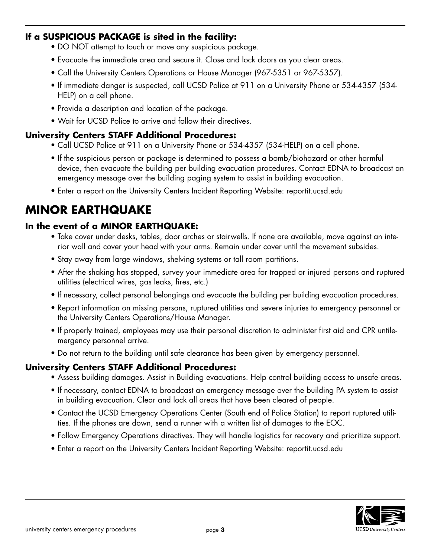#### **If a SUSPICIOUS PACKAGE is sited in the facility:**

- DO NOT attempt to touch or move any suspicious package.
- Evacuate the immediate area and secure it. Close and lock doors as you clear areas.
- Call the University Centers Operations or House Manager (967-5351 or 967-5357).
- If immediate danger is suspected, call UCSD Police at 911 on a University Phone or 534-4357 (534- HELP) on a cell phone.
- Provide a description and location of the package.
- Wait for UCSD Police to arrive and follow their directives.

#### **University Centers STAFF Additional Procedures:**

- Call UCSD Police at 911 on a University Phone or 534-4357 (534-HELP) on a cell phone.
- If the suspicious person or package is determined to possess a bomb/biohazard or other harmful device, then evacuate the building per building evacuation procedures. Contact EDNA to broadcast an emergency message over the building paging system to assist in building evacuation.
- Enter a report on the University Centers Incident Reporting Website: reportit.ucsd.edu

### **MINOR EARTHQUAKE**

#### **In the event of a MINOR EARTHQUAKE:**

- Take cover under desks, tables, door arches or stairwells. If none are available, move against an interior wall and cover your head with your arms. Remain under cover until the movement subsides.
- Stay away from large windows, shelving systems or tall room partitions.
- After the shaking has stopped, survey your immediate area for trapped or injured persons and ruptured utilities (electrical wires, gas leaks, fires, etc.)
- If necessary, collect personal belongings and evacuate the building per building evacuation procedures.
- Report information on missing persons, ruptured utilities and severe injuries to emergency personnel or the University Centers Operations/House Manager.
- If properly trained, employees may use their personal discretion to administer first aid and CPR untilemergency personnel arrive.
- Do not return to the building until safe clearance has been given by emergency personnel.

- Assess building damages. Assist in Building evacuations. Help control building access to unsafe areas.
- If necessary, contact EDNA to broadcast an emergency message over the building PA system to assist in building evacuation. Clear and lock all areas that have been cleared of people.
- Contact the UCSD Emergency Operations Center (South end of Police Station) to report ruptured utilities. If the phones are down, send a runner with a written list of damages to the EOC.
- Follow Emergency Operations directives. They will handle logistics for recovery and prioritize support.
- Enter a report on the University Centers Incident Reporting Website: reportit.ucsd.edu

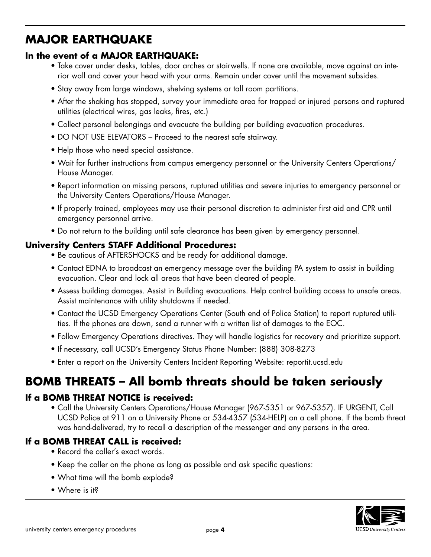### **MAJOR EARTHQUAKE**

#### **In the event of a MAJOR EARTHQUAKE:**

- Take cover under desks, tables, door arches or stairwells. If none are available, move against an interior wall and cover your head with your arms. Remain under cover until the movement subsides.
- Stay away from large windows, shelving systems or tall room partitions.
- After the shaking has stopped, survey your immediate area for trapped or injured persons and ruptured utilities (electrical wires, gas leaks, fires, etc.)
- Collect personal belongings and evacuate the building per building evacuation procedures.
- DO NOT USE ELEVATORS Proceed to the nearest safe stairway.
- Help those who need special assistance.
- Wait for further instructions from campus emergency personnel or the University Centers Operations/ House Manager.
- Report information on missing persons, ruptured utilities and severe injuries to emergency personnel or the University Centers Operations/House Manager.
- If properly trained, employees may use their personal discretion to administer first aid and CPR until emergency personnel arrive.
- Do not return to the building until safe clearance has been given by emergency personnel.

#### **University Centers STAFF Additional Procedures:**

- Be cautious of AFTERSHOCKS and be ready for additional damage.
- Contact EDNA to broadcast an emergency message over the building PA system to assist in building evacuation. Clear and lock all areas that have been cleared of people.
- Assess building damages. Assist in Building evacuations. Help control building access to unsafe areas. Assist maintenance with utility shutdowns if needed.
- Contact the UCSD Emergency Operations Center (South end of Police Station) to report ruptured utilities. If the phones are down, send a runner with a written list of damages to the EOC.
- Follow Emergency Operations directives. They will handle logistics for recovery and prioritize support.
- If necessary, call UCSD's Emergency Status Phone Number: (888) 308-8273
- Enter a report on the University Centers Incident Reporting Website: reportit.ucsd.edu

## **BOMB THREATS – All bomb threats should be taken seriously**

#### **If a BOMB THREAT NOTICE is received:**

 • Call the University Centers Operations/House Manager (967-5351 or 967-5357). IF URGENT, Call UCSD Police at 911 on a University Phone or 534-4357 (534-HELP) on a cell phone. If the bomb threat was hand-delivered, try to recall a description of the messenger and any persons in the area.

#### **If a BOMB THREAT CALL is received:**

- Record the caller's exact words.
- Keep the caller on the phone as long as possible and ask specific questions:
- What time will the bomb explode?
- Where is it?

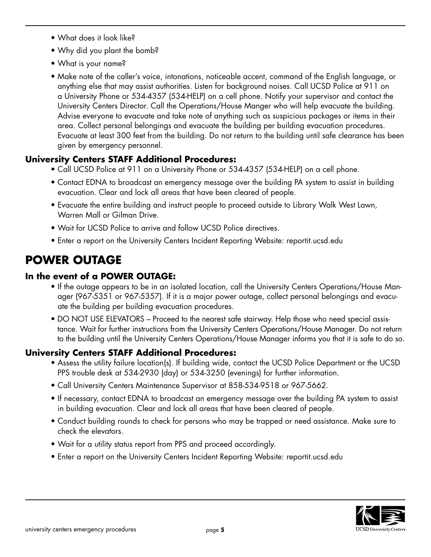- What does it look like?
- Why did you plant the bomb?
- What is your name?
- Make note of the caller's voice, intonations, noticeable accent, command of the English language, or anything else that may assist authorities. Listen for background noises. Call UCSD Police at 911 on a University Phone or 534-4357 (534-HELP) on a cell phone. Notify your supervisor and contact the University Centers Director. Call the Operations/House Manger who will help evacuate the building. Advise everyone to evacuate and take note of anything such as suspicious packages or items in their area. Collect personal belongings and evacuate the building per building evacuation procedures. Evacuate at least 300 feet from the building. Do not return to the building until safe clearance has been given by emergency personnel.

#### **University Centers STAFF Additional Procedures:**

- Call UCSD Police at 911 on a University Phone or 534-4357 (534-HELP) on a cell phone.
- Contact EDNA to broadcast an emergency message over the building PA system to assist in building evacuation. Clear and lock all areas that have been cleared of people.
- Evacuate the entire building and instruct people to proceed outside to Library Walk West Lawn, Warren Mall or Gilman Drive.
- Wait for UCSD Police to arrive and follow UCSD Police directives.
- Enter a report on the University Centers Incident Reporting Website: reportit.ucsd.edu

### **POWER OUTAGE**

#### **In the event of a POWER OUTAGE:**

- If the outage appears to be in an isolated location, call the University Centers Operations/House Manager (967-5351 or 967-5357). If it is a major power outage, collect personal belongings and evacuate the building per building evacuation procedures.
- DO NOT USE ELEVATORS Proceed to the nearest safe stairway. Help those who need special assistance. Wait for further instructions from the University Centers Operations/House Manager. Do not return to the building until the University Centers Operations/House Manager informs you that it is safe to do so.

- Assess the utility failure location(s). If building wide, contact the UCSD Police Department or the UCSD PPS trouble desk at 534-2930 (day) or 534-3250 (evenings) for further information.
- Call University Centers Maintenance Supervisor at 858-534-9518 or 967-5662.
- If necessary, contact EDNA to broadcast an emergency message over the building PA system to assist in building evacuation. Clear and lock all areas that have been cleared of people.
- Conduct building rounds to check for persons who may be trapped or need assistance. Make sure to check the elevators.
- Wait for a utility status report from PPS and proceed accordingly.
- Enter a report on the University Centers Incident Reporting Website: reportit.ucsd.edu

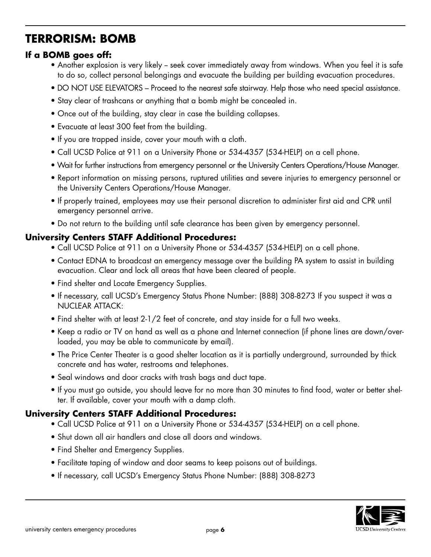## **TERRORISM: BOMB**

### **If a BOMB goes off:**

- Another explosion is very likely seek cover immediately away from windows. When you feel it is safe to do so, collect personal belongings and evacuate the building per building evacuation procedures.
- DO NOT USE ELEVATORS Proceed to the nearest safe stairway. Help those who need special assistance.
- Stay clear of trashcans or anything that a bomb might be concealed in.
- Once out of the building, stay clear in case the building collapses.
- Evacuate at least 300 feet from the building.
- If you are trapped inside, cover your mouth with a cloth.
- Call UCSD Police at 911 on a University Phone or 534-4357 (534-HELP) on a cell phone.
- Wait for further instructions from emergency personnel or the University Centers Operations/House Manager.
- Report information on missing persons, ruptured utilities and severe injuries to emergency personnel or the University Centers Operations/House Manager.
- If properly trained, employees may use their personal discretion to administer first aid and CPR until emergency personnel arrive.
- Do not return to the building until safe clearance has been given by emergency personnel.

#### **University Centers STAFF Additional Procedures:**

- Call UCSD Police at 911 on a University Phone or 534-4357 (534-HELP) on a cell phone.
- Contact EDNA to broadcast an emergency message over the building PA system to assist in building evacuation. Clear and lock all areas that have been cleared of people.
- Find shelter and Locate Emergency Supplies.
- If necessary, call UCSD's Emergency Status Phone Number: (888) 308-8273 If you suspect it was a NUCLEAR ATTACK:
- Find shelter with at least 2-1/2 feet of concrete, and stay inside for a full two weeks.
- Keep a radio or TV on hand as well as a phone and Internet connection (if phone lines are down/overloaded, you may be able to communicate by email).
- The Price Center Theater is a good shelter location as it is partially underground, surrounded by thick concrete and has water, restrooms and telephones.
- Seal windows and door cracks with trash bags and duct tape.
- If you must go outside, you should leave for no more than 30 minutes to find food, water or better shelter. If available, cover your mouth with a damp cloth.

- Call UCSD Police at 911 on a University Phone or 534-4357 (534-HELP) on a cell phone.
- Shut down all air handlers and close all doors and windows.
- Find Shelter and Emergency Supplies.
- Facilitate taping of window and door seams to keep poisons out of buildings.
- If necessary, call UCSD's Emergency Status Phone Number: (888) 308-8273

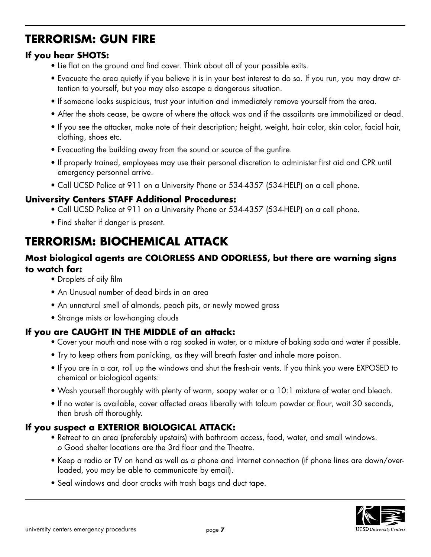# **TERRORISM: GUN FIRE**

#### **If you hear SHOTS:**

- Lie flat on the ground and find cover. Think about all of your possible exits.
- Evacuate the area quietly if you believe it is in your best interest to do so. If you run, you may draw attention to yourself, but you may also escape a dangerous situation.
- If someone looks suspicious, trust your intuition and immediately remove yourself from the area.
- After the shots cease, be aware of where the attack was and if the assailants are immobilized or dead.
- If you see the attacker, make note of their description; height, weight, hair color, skin color, facial hair, clothing, shoes etc.
- Evacuating the building away from the sound or source of the gunfire.
- If properly trained, employees may use their personal discretion to administer first aid and CPR until emergency personnel arrive.
- Call UCSD Police at 911 on a University Phone or 534-4357 (534-HELP) on a cell phone.

#### **University Centers STAFF Additional Procedures:**

- Call UCSD Police at 911 on a University Phone or 534-4357 (534-HELP) on a cell phone.
- Find shelter if danger is present.

# **TERRORISM: BIOCHEMICAL ATTACK**

#### **Most biological agents are COLORLESS AND ODORLESS, but there are warning signs to watch for:**

- Droplets of oily film
- An Unusual number of dead birds in an area
- An unnatural smell of almonds, peach pits, or newly mowed grass
- Strange mists or low-hanging clouds

#### **If you are CAUGHT IN THE MIDDLE of an attack:**

- Cover your mouth and nose with a rag soaked in water, or a mixture of baking soda and water if possible.
- Try to keep others from panicking, as they will breath faster and inhale more poison.
- If you are in a car, roll up the windows and shut the fresh-air vents. If you think you were EXPOSED to chemical or biological agents:
- Wash yourself thoroughly with plenty of warm, soapy water or a 10:1 mixture of water and bleach.
- If no water is available, cover affected areas liberally with talcum powder or flour, wait 30 seconds, then brush off thoroughly.

#### **If you suspect a EXTERIOR BIOLOGICAL ATTACK:**

- Retreat to an area (preferably upstairs) with bathroom access, food, water, and small windows. o Good shelter locations are the 3rd floor and the Theatre.
- Keep a radio or TV on hand as well as a phone and Internet connection (if phone lines are down/overloaded, you may be able to communicate by email).
- Seal windows and door cracks with trash bags and duct tape.